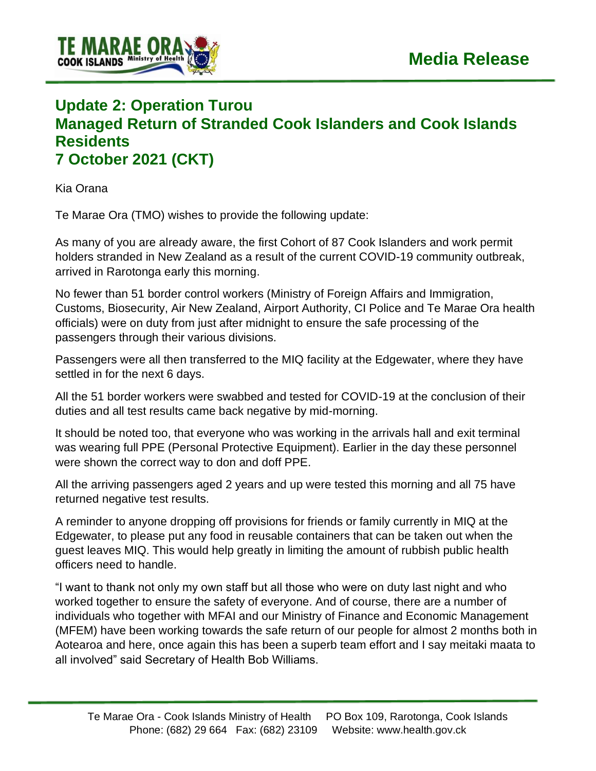

## **Update 2: Operation Turou Managed Return of Stranded Cook Islanders and Cook Islands Residents 7 October 2021 (CKT)**

Kia Orana

Te Marae Ora (TMO) wishes to provide the following update:

As many of you are already aware, the first Cohort of 87 Cook Islanders and work permit holders stranded in New Zealand as a result of the current COVID-19 community outbreak, arrived in Rarotonga early this morning.

No fewer than 51 border control workers (Ministry of Foreign Affairs and Immigration, Customs, Biosecurity, Air New Zealand, Airport Authority, CI Police and Te Marae Ora health officials) were on duty from just after midnight to ensure the safe processing of the passengers through their various divisions.

Passengers were all then transferred to the MIQ facility at the Edgewater, where they have settled in for the next 6 days.

All the 51 border workers were swabbed and tested for COVID-19 at the conclusion of their duties and all test results came back negative by mid-morning.

It should be noted too, that everyone who was working in the arrivals hall and exit terminal was wearing full PPE (Personal Protective Equipment). Earlier in the day these personnel were shown the correct way to don and doff PPE.

All the arriving passengers aged 2 years and up were tested this morning and all 75 have returned negative test results.

A reminder to anyone dropping off provisions for friends or family currently in MIQ at the Edgewater, to please put any food in reusable containers that can be taken out when the guest leaves MIQ. This would help greatly in limiting the amount of rubbish public health officers need to handle.

"I want to thank not only my own staff but all those who were on duty last night and who worked together to ensure the safety of everyone. And of course, there are a number of individuals who together with MFAI and our Ministry of Finance and Economic Management (MFEM) have been working towards the safe return of our people for almost 2 months both in Aotearoa and here, once again this has been a superb team effort and I say meitaki maata to all involved" said Secretary of Health Bob Williams.